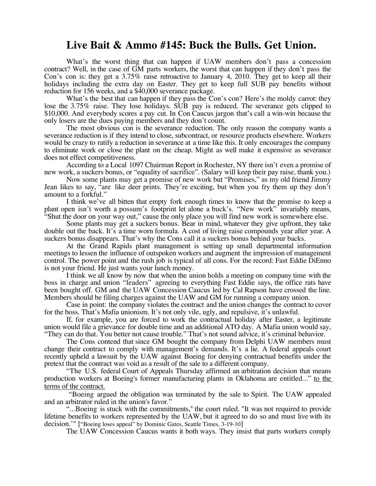## **Live Bait & Ammo #145: Buck the Bulls. Get Union.**

What's the worst thing that can happen if UAW members don't pass a concession contract? Well, in the case of GM parts workers, the worst that can happen if they don't pass the Con's con is: they get a 3.75% raise retroactive to January 4, 2010. They get to keep all their holidays including the extra day on Easter. They get to keep full SUB pay benefits without reduction for 156 weeks, and a \$40,000 severance package.

What's the best that can happen if they pass the Con's con? Here's the moldy carrot: they lose the 3.75% raise. They lose holidays. SUB pay is reduced. The severance gets clipped to \$10,000. And everybody scores a pay cut. In Con Caucus jargon that's call a win-win because the only losers are the dues paying members and they don't count.

The most obvious con is the severance reduction. The only reason the company wants a severance reduction is if they intend to close, subcontract, or resource products elsewhere. Workers would be crazy to ratify a reduction in severance at a time like this. It only encourages the company to eliminate work or close the plant on the cheap. Might as well make it expensive as severance does not effect competitiveness.

According to a Local 1097 Chairman Report in Rochester, NY there isn't even a promise of new work, a suckers bonus, or "equality of sacrifice". (Salary will keep their pay raise, thank you.)

Now some plants may get a promise of new work but "Promises," as my old friend Jimmy Jean likes to say, "are like deer prints. They're exciting, but when you fry them up they don't amount to a forkful."

I think we've all bitten that empty fork enough times to know that the promise to keep a plant open isn't worth a possum's footprint let alone a buck's. "New work" invariably means, "Shut the door on your way out," cause the only place you will find new work is somewhere else.

Some plants may get a suckers bonus. Bear in mind, whatever they give upfront, they take double out the back. It's a time worn formula. A cost of living raise compounds year after year. A suckers bonus disappears. That's why the Cons call it a suckers bonus behind your backs.

At the Grand Rapids plant management is setting up small departmental information meetings to lessen the influence of outspoken workers and augment the impression of management control. The power point and the rush job is typical of all cons. For the record: Fast Eddie DiEnno is not your friend. He just wants your lunch money.

I think we all know by now that when the union holds a meeting on company time with the boss in charge and union "leaders" agreeing to everything Fast Eddie says, the office rats have been bought off. GM and the UAW Concession Caucus led by Cal Rapson have crossed the line. Members should be filing charges against the UAW and GM for running a company union.

Case in point: the company violates the contract and the union changes the contract to cover for the boss. That's Mafia unionism. It's not only vile, ugly, and repulsive, it's unlawful.

If, for example, you are forced to work the contractual holiday after Easter, a legitimate union would file a grievance for double time and an additional ATO day. A Mafia union would say, "They can do that. You better not cause trouble." That's not sound advice, it's criminal behavior.

The Cons contend that since GM bought the company from Delphi UAW members must change their contract to comply with management's demands. It's a lie. A federal appeals court recently upheld a lawsuit by the UAW against Boeing for denying contractual benefits under the pretext that the contract was void as a result of the sale to a different company.

"The U.S. federal Court of Appeals Thursday affirmed an arbitration decision that means production workers at Boeing's former manufacturing plants in Oklahoma are entitled..." to the terms of the contract.

"Boeing argued the obligation was terminated by the sale to Spirit. The UAW appealed and an arbitrator ruled in the union's favor."

"...Boeing is stuck with the commitments," the court ruled. "It was not required to provide lifetime benefits to workers represented by the UAW, but it agreed to do so and must live with its decision.'" ["Boeing loses appeal" by Dominic Gates, Seattle Times, 3-19-10]

The UAW Concession Caucus wants it both ways. They insist that parts workers comply